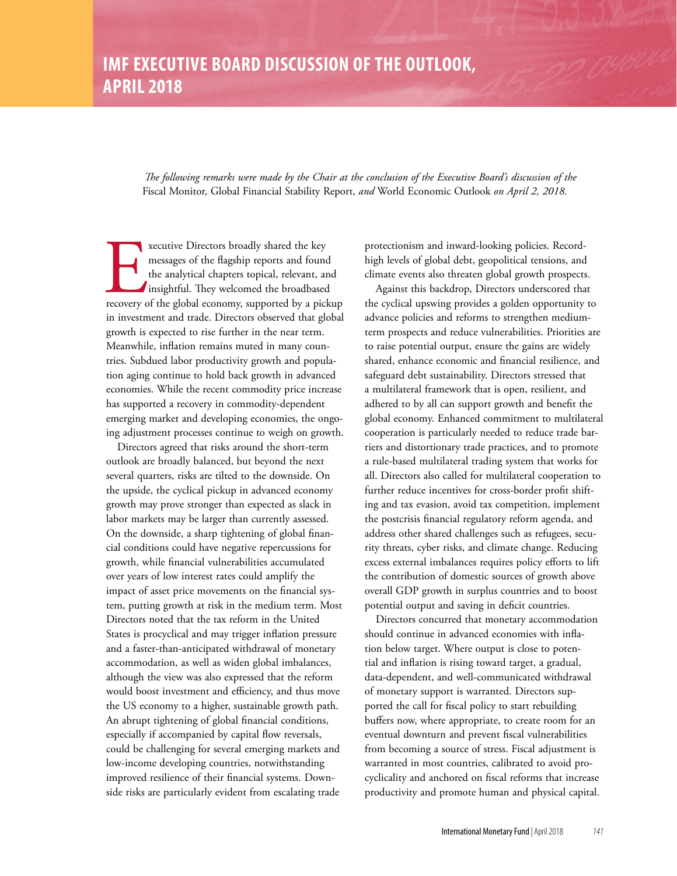*The following remarks were made by the Chair at the conclusion of the Executive Board's discussion of the*  Fiscal Monitor, Global Financial Stability Report, *and* World Economic Outlook *on April 2, 2018.*

**Executive Directors broadly shared the key messages of the flagship reports and found the analytical chapters topical, relevant, and insightful. They welcomed the broadbased recovery of the global economy, supported by a** messages of the flagship reports and found the analytical chapters topical, relevant, and insightful. They welcomed the broadbased in investment and trade. Directors observed that global growth is expected to rise further in the near term. Meanwhile, inflation remains muted in many countries. Subdued labor productivity growth and population aging continue to hold back growth in advanced economies. While the recent commodity price increase has supported a recovery in commodity-dependent emerging market and developing economies, the ongoing adjustment processes continue to weigh on growth.

Directors agreed that risks around the short-term outlook are broadly balanced, but beyond the next several quarters, risks are tilted to the downside. On the upside, the cyclical pickup in advanced economy growth may prove stronger than expected as slack in labor markets may be larger than currently assessed. On the downside, a sharp tightening of global financial conditions could have negative repercussions for growth, while financial vulnerabilities accumulated over years of low interest rates could amplify the impact of asset price movements on the financial system, putting growth at risk in the medium term. Most Directors noted that the tax reform in the United States is procyclical and may trigger inflation pressure and a faster-than-anticipated withdrawal of monetary accommodation, as well as widen global imbalances, although the view was also expressed that the reform would boost investment and efficiency, and thus move the US economy to a higher, sustainable growth path. An abrupt tightening of global financial conditions, especially if accompanied by capital flow reversals, could be challenging for several emerging markets and low-income developing countries, notwithstanding improved resilience of their financial systems. Downside risks are particularly evident from escalating trade

protectionism and inward-looking policies. Recordhigh levels of global debt, geopolitical tensions, and climate events also threaten global growth prospects.

Against this backdrop, Directors underscored that the cyclical upswing provides a golden opportunity to advance policies and reforms to strengthen mediumterm prospects and reduce vulnerabilities. Priorities are to raise potential output, ensure the gains are widely shared, enhance economic and financial resilience, and safeguard debt sustainability. Directors stressed that a multilateral framework that is open, resilient, and adhered to by all can support growth and benefit the global economy. Enhanced commitment to multilateral cooperation is particularly needed to reduce trade barriers and distortionary trade practices, and to promote a rule-based multilateral trading system that works for all. Directors also called for multilateral cooperation to further reduce incentives for cross-border profit shifting and tax evasion, avoid tax competition, implement the postcrisis financial regulatory reform agenda, and address other shared challenges such as refugees, security threats, cyber risks, and climate change. Reducing excess external imbalances requires policy efforts to lift the contribution of domestic sources of growth above overall GDP growth in surplus countries and to boost potential output and saving in deficit countries.

Directors concurred that monetary accommodation should continue in advanced economies with inflation below target. Where output is close to potential and inflation is rising toward target, a gradual, data-dependent, and well-communicated withdrawal of monetary support is warranted. Directors supported the call for fiscal policy to start rebuilding buffers now, where appropriate, to create room for an eventual downturn and prevent fiscal vulnerabilities from becoming a source of stress. Fiscal adjustment is warranted in most countries, calibrated to avoid procyclicality and anchored on fiscal reforms that increase productivity and promote human and physical capital.